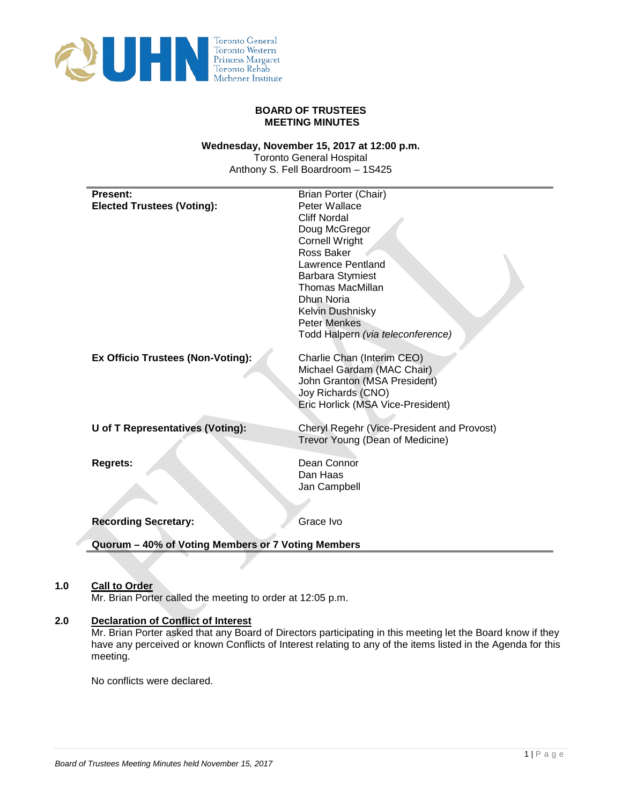

### **BOARD OF TRUSTEES MEETING MINUTES**

## **Wednesday, November 15, 2017 at 12:00 p.m.**

Toronto General Hospital Anthony S. Fell Boardroom – 1S425

| <b>Present:</b>                                    | Brian Porter (Chair)                       |
|----------------------------------------------------|--------------------------------------------|
| <b>Elected Trustees (Voting):</b>                  | Peter Wallace                              |
|                                                    | <b>Cliff Nordal</b>                        |
|                                                    | Doug McGregor                              |
|                                                    | <b>Cornell Wright</b>                      |
|                                                    | Ross Baker<br>Lawrence Pentland            |
|                                                    | <b>Barbara Stymiest</b>                    |
|                                                    | <b>Thomas MacMillan</b>                    |
|                                                    | Dhun Noria                                 |
|                                                    | Kelvin Dushnisky                           |
|                                                    | <b>Peter Menkes</b>                        |
|                                                    | Todd Halpern (via teleconference)          |
| Ex Officio Trustees (Non-Voting):                  | Charlie Chan (Interim CEO)                 |
|                                                    | Michael Gardam (MAC Chair)                 |
|                                                    | John Granton (MSA President)               |
|                                                    | Joy Richards (CNO)                         |
|                                                    | Eric Horlick (MSA Vice-President)          |
| <b>U</b> of T Representatives (Voting):            | Cheryl Regehr (Vice-President and Provost) |
|                                                    | Trevor Young (Dean of Medicine)            |
|                                                    |                                            |
| <b>Regrets:</b>                                    | Dean Connor                                |
|                                                    | Dan Haas                                   |
|                                                    | Jan Campbell                               |
|                                                    |                                            |
| <b>Recording Secretary:</b>                        | Grace Ivo                                  |
| Quorum - 40% of Voting Members or 7 Voting Members |                                            |

# **1.0 Call to Order**

Mr. Brian Porter called the meeting to order at 12:05 p.m.

# **2.0 Declaration of Conflict of Interest**

Mr. Brian Porter asked that any Board of Directors participating in this meeting let the Board know if they have any perceived or known Conflicts of Interest relating to any of the items listed in the Agenda for this meeting.

No conflicts were declared.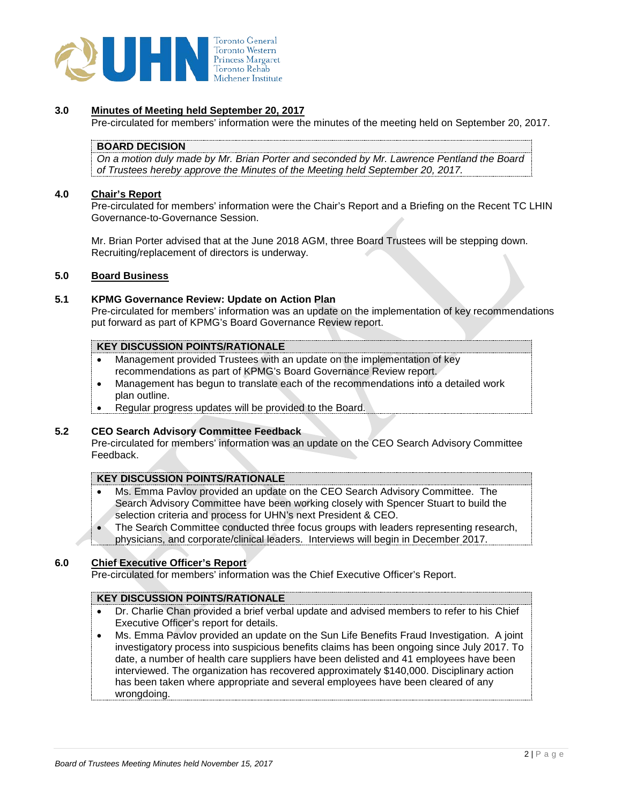

### **3.0 Minutes of Meeting held September 20, 2017**

Pre-circulated for members' information were the minutes of the meeting held on September 20, 2017.

### **BOARD DECISION**

*On a motion duly made by Mr. Brian Porter and seconded by Mr. Lawrence Pentland the Board of Trustees hereby approve the Minutes of the Meeting held September 20, 2017.*

## **4.0 Chair's Report**

Pre-circulated for members' information were the Chair's Report and a Briefing on the Recent TC LHIN Governance-to-Governance Session.

Mr. Brian Porter advised that at the June 2018 AGM, three Board Trustees will be stepping down. Recruiting/replacement of directors is underway.

#### **5.0 Board Business**

#### **5.1 KPMG Governance Review: Update on Action Plan**

Pre-circulated for members' information was an update on the implementation of key recommendations put forward as part of KPMG's Board Governance Review report.

### **KEY DISCUSSION POINTS/RATIONALE**

- Management provided Trustees with an update on the implementation of key recommendations as part of KPMG's Board Governance Review report.
- Management has begun to translate each of the recommendations into a detailed work plan outline.
- Regular progress updates will be provided to the Board.

#### **5.2 CEO Search Advisory Committee Feedback**

Pre-circulated for members' information was an update on the CEO Search Advisory Committee Feedback.

#### **KEY DISCUSSION POINTS/RATIONALE**

- Ms. Emma Pavlov provided an update on the CEO Search Advisory Committee. The Search Advisory Committee have been working closely with Spencer Stuart to build the selection criteria and process for UHN's next President & CEO.
- The Search Committee conducted three focus groups with leaders representing research, physicians, and corporate/clinical leaders. Interviews will begin in December 2017.

#### **6.0 Chief Executive Officer's Report**

Pre-circulated for members' information was the Chief Executive Officer's Report.

# **KEY DISCUSSION POINTS/RATIONALE**

- Dr. Charlie Chan provided a brief verbal update and advised members to refer to his Chief Executive Officer's report for details.
- Ms. Emma Pavlov provided an update on the Sun Life Benefits Fraud Investigation. A joint investigatory process into suspicious benefits claims has been ongoing since July 2017. To date, a number of health care suppliers have been delisted and 41 employees have been interviewed. The organization has recovered approximately \$140,000. Disciplinary action has been taken where appropriate and several employees have been cleared of any wrongdoing.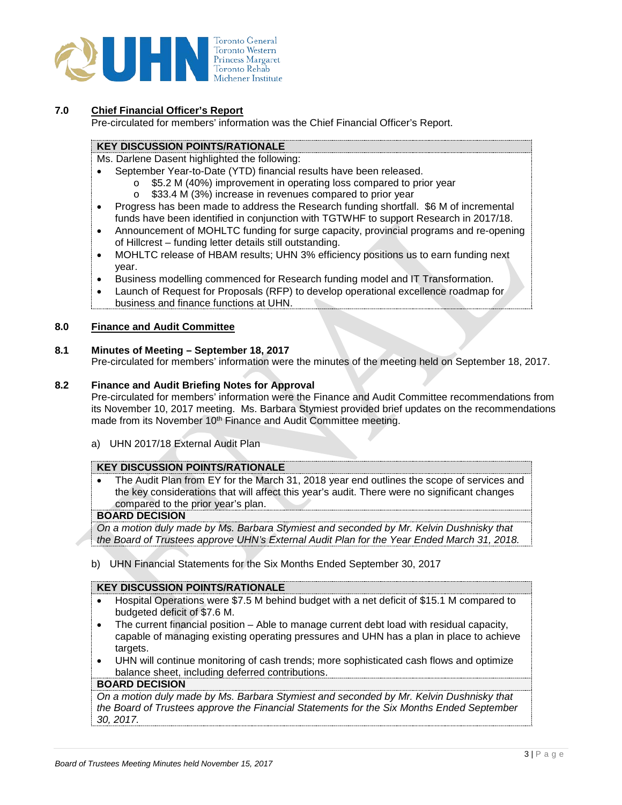

## **7.0 Chief Financial Officer's Report**

Pre-circulated for members' information was the Chief Financial Officer's Report.

## **KEY DISCUSSION POINTS/RATIONALE**

Ms. Darlene Dasent highlighted the following:

- September Year-to-Date (YTD) financial results have been released.
	- o \$5.2 M (40%) improvement in operating loss compared to prior year
		- o \$33.4 M (3%) increase in revenues compared to prior year
- Progress has been made to address the Research funding shortfall. \$6 M of incremental funds have been identified in conjunction with TGTWHF to support Research in 2017/18.
- Announcement of MOHLTC funding for surge capacity, provincial programs and re-opening of Hillcrest – funding letter details still outstanding.
- MOHLTC release of HBAM results; UHN 3% efficiency positions us to earn funding next year.
- Business modelling commenced for Research funding model and IT Transformation.
- Launch of Request for Proposals (RFP) to develop operational excellence roadmap for business and finance functions at UHN.

### **8.0 Finance and Audit Committee**

### **8.1 Minutes of Meeting – September 18, 2017**

Pre-circulated for members' information were the minutes of the meeting held on September 18, 2017.

# **8.2 Finance and Audit Briefing Notes for Approval**

Pre-circulated for members' information were the Finance and Audit Committee recommendations from its November 10, 2017 meeting. Ms. Barbara Stymiest provided brief updates on the recommendations made from its November 10<sup>th</sup> Finance and Audit Committee meeting.

a) UHN 2017/18 External Audit Plan

### **KEY DISCUSSION POINTS/RATIONALE**

• The Audit Plan from EY for the March 31, 2018 year end outlines the scope of services and the key considerations that will affect this year's audit. There were no significant changes compared to the prior year's plan.

## **BOARD DECISION**

*On a motion duly made by Ms. Barbara Stymiest and seconded by Mr. Kelvin Dushnisky that the Board of Trustees approve UHN's External Audit Plan for the Year Ended March 31, 2018.*

b) UHN Financial Statements for the Six Months Ended September 30, 2017

### **KEY DISCUSSION POINTS/RATIONALE**

- Hospital Operations were \$7.5 M behind budget with a net deficit of \$15.1 M compared to budgeted deficit of \$7.6 M.
- The current financial position Able to manage current debt load with residual capacity, capable of managing existing operating pressures and UHN has a plan in place to achieve targets.
- UHN will continue monitoring of cash trends; more sophisticated cash flows and optimize balance sheet, including deferred contributions.

#### **BOARD DECISION**

*On a motion duly made by Ms. Barbara Stymiest and seconded by Mr. Kelvin Dushnisky that the Board of Trustees approve the Financial Statements for the Six Months Ended September 30, 2017.*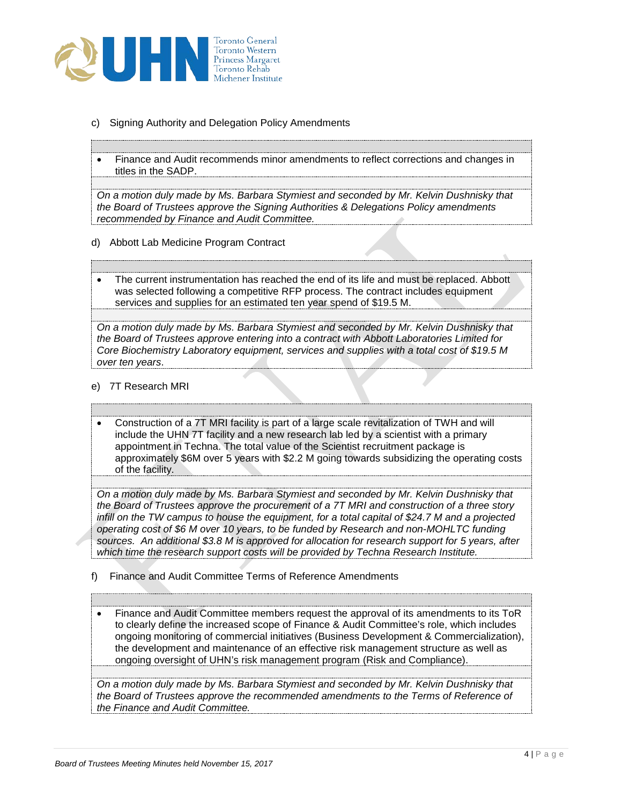

- c) Signing Authority and Delegation Policy Amendments
- Finance and Audit recommends minor amendments to reflect corrections and changes in titles in the SADP.

*On a motion duly made by Ms. Barbara Stymiest and seconded by Mr. Kelvin Dushnisky that the Board of Trustees approve the Signing Authorities & Delegations Policy amendments recommended by Finance and Audit Committee.* 

d) Abbott Lab Medicine Program Contract

**KEY DISCUSSION POINTS/RATIONALE**

**KEY DISCUSSION POINTS/RATIONALE**

**KEY DISCUSSION POINTS/RATIONALE**

The current instrumentation has reached the end of its life and must be replaced. Abbott was selected following a competitive RFP process. The contract includes equipment services and supplies for an estimated ten year spend of \$19.5 M.

*On a motion duly made by Ms. Barbara Stymiest and seconded by Mr. Kelvin Dushnisky that the Board of Trustees approve entering into a contract with Abbott Laboratories Limited for Core Biochemistry Laboratory equipment, services and supplies with a total cost of \$19.5 M over ten years*.

e) 7T Research MRI

**BOARD DECISION**

**BOARD DECISION**

**BOARD DECISION**

**BOARD DECISION**

• Construction of a 7T MRI facility is part of a large scale revitalization of TWH and will include the UHN 7T facility and a new research lab led by a scientist with a primary appointment in Techna. The total value of the Scientist recruitment package is approximately \$6M over 5 years with \$2.2 M going towards subsidizing the operating costs of the facility.

*On a motion duly made by Ms. Barbara Stymiest and seconded by Mr. Kelvin Dushnisky that the Board of Trustees approve the procurement of a 7T MRI and construction of a three story infill on the TW campus to house the equipment, for a total capital of \$24.7 M and a projected operating cost of \$6 M over 10 years, to be funded by Research and non-MOHLTC funding sources. An additional \$3.8 M is approved for allocation for research support for 5 years, after which time the research support costs will be provided by Techna Research Institute.*

f) Finance and Audit Committee Terms of Reference Amendments

• Finance and Audit Committee members request the approval of its amendments to its ToR to clearly define the increased scope of Finance & Audit Committee's role, which includes ongoing monitoring of commercial initiatives (Business Development & Commercialization), the development and maintenance of an effective risk management structure as well as ongoing oversight of UHN's risk management program (Risk and Compliance).

*On a motion duly made by Ms. Barbara Stymiest and seconded by Mr. Kelvin Dushnisky that the Board of Trustees approve the recommended amendments to the Terms of Reference of the Finance and Audit Committee.*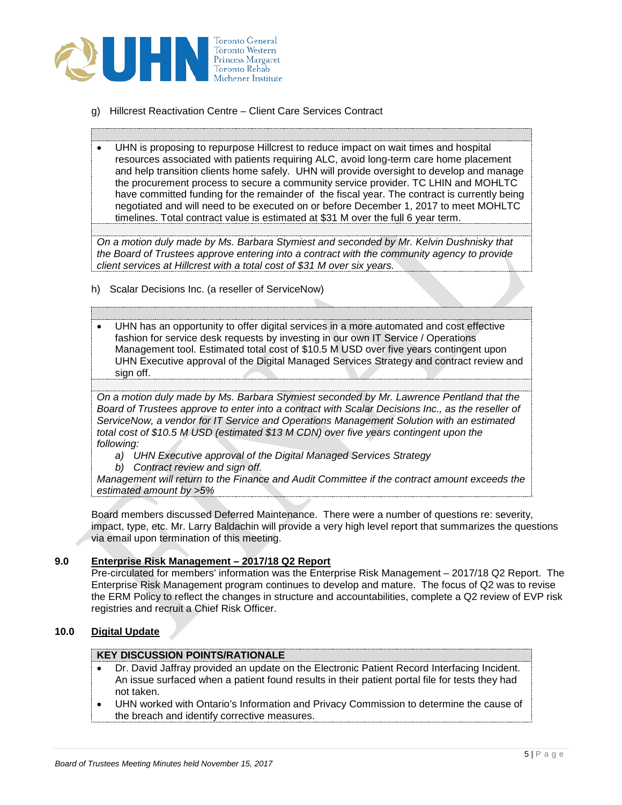

**BOARD DECISION**

**BOARD DECISION**

- g) Hillcrest Reactivation Centre Client Care Services Contract
- **KEY DISCUSSION POINTS/RATIONALE** • UHN is proposing to repurpose Hillcrest to reduce impact on wait times and hospital resources associated with patients requiring ALC, avoid long-term care home placement and help transition clients home safely. UHN will provide oversight to develop and manage the procurement process to secure a community service provider. TC LHIN and MOHLTC have committed funding for the remainder of the fiscal year. The contract is currently being negotiated and will need to be executed on or before December 1, 2017 to meet MOHLTC timelines. Total contract value is estimated at \$31 M over the full 6 year term.

*On a motion duly made by Ms. Barbara Stymiest and seconded by Mr. Kelvin Dushnisky that the Board of Trustees approve entering into a contract with the community agency to provide client services at Hillcrest with a total cost of \$31 M over six years.*

h) Scalar Decisions Inc. (a reseller of ServiceNow)

**KEY DISCUSSION POINTS/RATIONALE**

• UHN has an opportunity to offer digital services in a more automated and cost effective fashion for service desk requests by investing in our own IT Service / Operations Management tool. Estimated total cost of \$10.5 M USD over five years contingent upon UHN Executive approval of the Digital Managed Services Strategy and contract review and sign off.

*On a motion duly made by Ms. Barbara Stymiest seconded by Mr. Lawrence Pentland that the Board of Trustees approve to enter into a contract with Scalar Decisions Inc., as the reseller of ServiceNow, a vendor for IT Service and Operations Management Solution with an estimated total cost of \$10.5 M USD (estimated \$13 M CDN) over five years contingent upon the following:*

- *a) UHN Executive approval of the Digital Managed Services Strategy*
- *b) Contract review and sign off.*

*Management will return to the Finance and Audit Committee if the contract amount exceeds the estimated amount by >5%*

Board members discussed Deferred Maintenance. There were a number of questions re: severity, impact, type, etc. Mr. Larry Baldachin will provide a very high level report that summarizes the questions via email upon termination of this meeting.

### **9.0 Enterprise Risk Management – 2017/18 Q2 Report**

Pre-circulated for members' information was the Enterprise Risk Management – 2017/18 Q2 Report. The Enterprise Risk Management program continues to develop and mature. The focus of Q2 was to revise the ERM Policy to reflect the changes in structure and accountabilities, complete a Q2 review of EVP risk registries and recruit a Chief Risk Officer.

# **10.0 Digital Update**

## **KEY DISCUSSION POINTS/RATIONALE**

- Dr. David Jaffray provided an update on the Electronic Patient Record Interfacing Incident. An issue surfaced when a patient found results in their patient portal file for tests they had not taken.
- UHN worked with Ontario's Information and Privacy Commission to determine the cause of the breach and identify corrective measures.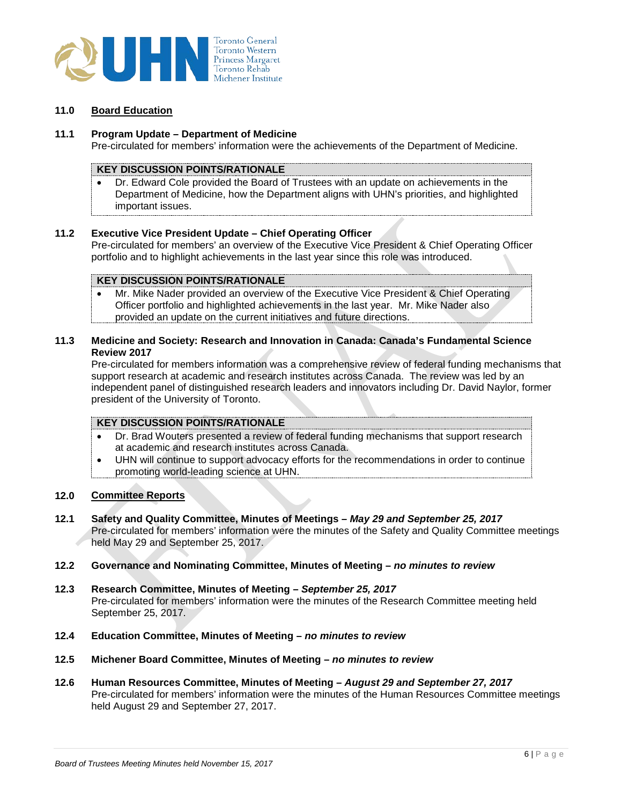

## **11.0 Board Education**

### **11.1 Program Update – Department of Medicine**

Pre-circulated for members' information were the achievements of the Department of Medicine.

## **KEY DISCUSSION POINTS/RATIONALE**

• Dr. Edward Cole provided the Board of Trustees with an update on achievements in the Department of Medicine, how the Department aligns with UHN's priorities, and highlighted important issues.

### **11.2 Executive Vice President Update – Chief Operating Officer**

Pre-circulated for members' an overview of the Executive Vice President & Chief Operating Officer portfolio and to highlight achievements in the last year since this role was introduced.

# **KEY DISCUSSION POINTS/RATIONALE**

• Mr. Mike Nader provided an overview of the Executive Vice President & Chief Operating Officer portfolio and highlighted achievements in the last year. Mr. Mike Nader also provided an update on the current initiatives and future directions.

# **11.3 Medicine and Society: Research and Innovation in Canada: Canada's Fundamental Science Review 2017**

Pre-circulated for members information was a comprehensive review of federal funding mechanisms that support research at academic and research institutes across Canada. The review was led by an independent panel of distinguished research leaders and innovators including Dr. David Naylor, former president of the University of Toronto.

### **KEY DISCUSSION POINTS/RATIONALE**

- Dr. Brad Wouters presented a review of federal funding mechanisms that support research at academic and research institutes across Canada.
- UHN will continue to support advocacy efforts for the recommendations in order to continue promoting world-leading science at UHN.

# **12.0 Committee Reports**

- **12.1 Safety and Quality Committee, Minutes of Meetings** *May 29 and September 25, 2017* Pre-circulated for members' information were the minutes of the Safety and Quality Committee meetings held May 29 and September 25, 2017.
- **12.2 Governance and Nominating Committee, Minutes of Meeting** *no minutes to review*
- **12.3 Research Committee, Minutes of Meeting** *September 25, 2017* Pre-circulated for members' information were the minutes of the Research Committee meeting held September 25, 2017.
- **12.4 Education Committee, Minutes of Meeting** *no minutes to review*
- **12.5 Michener Board Committee, Minutes of Meeting** *no minutes to review*
- **12.6 Human Resources Committee, Minutes of Meeting** *August 29 and September 27, 2017* Pre-circulated for members' information were the minutes of the Human Resources Committee meetings held August 29 and September 27, 2017.